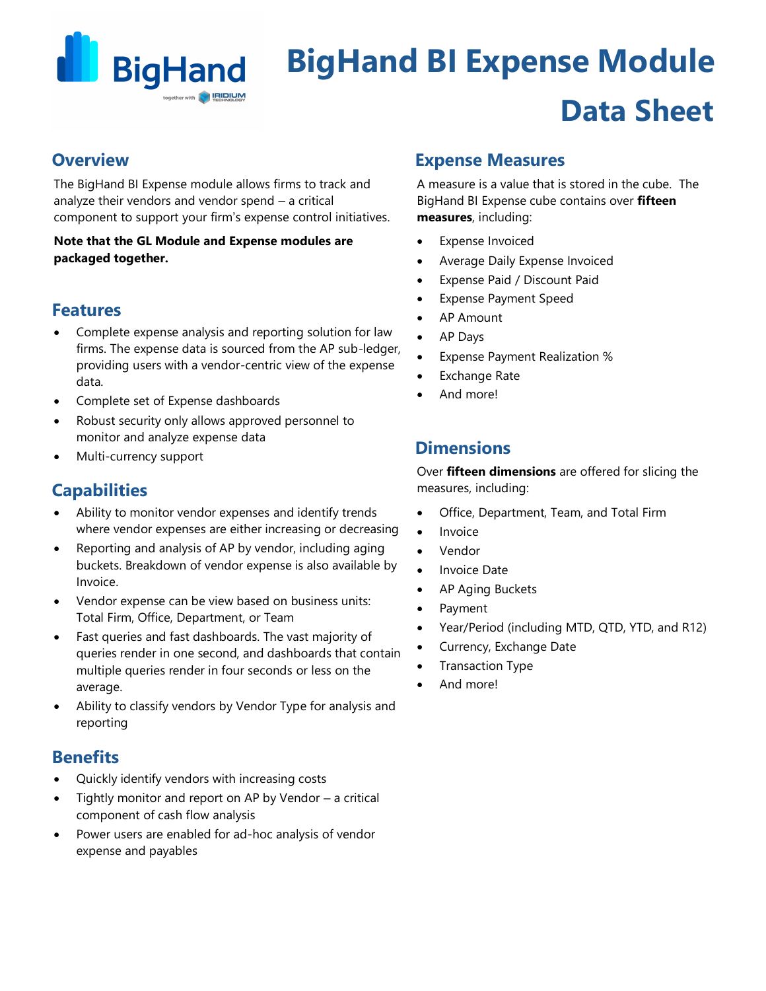

# **BigHand BI Expense Module Data Sheet**

## **Overview**

The BigHand BI Expense module allows firms to track and analyze their vendors and vendor spend – a critical component to support your firm's expense control initiatives.

### **Note that the GL Module and Expense modules are packaged together.**

## **Features**

- Complete expense analysis and reporting solution for law firms. The expense data is sourced from the AP sub-ledger, providing users with a vendor-centric view of the expense data.
- Complete set of Expense dashboards
- Robust security only allows approved personnel to monitor and analyze expense data
- Multi-currency support

## **Capabilities**

- Ability to monitor vendor expenses and identify trends where vendor expenses are either increasing or decreasing
- Reporting and analysis of AP by vendor, including aging buckets. Breakdown of vendor expense is also available by Invoice.
- Vendor expense can be view based on business units: Total Firm, Office, Department, or Team
- Fast queries and fast dashboards. The vast majority of queries render in one second, and dashboards that contain multiple queries render in four seconds or less on the average.
- Ability to classify vendors by Vendor Type for analysis and reporting

## **Benefits**

- Quickly identify vendors with increasing costs
- Tightly monitor and report on AP by Vendor a critical component of cash flow analysis
- Power users are enabled for ad-hoc analysis of vendor expense and payables

## **Expense Measures**

A measure is a value that is stored in the cube. The BigHand BI Expense cube contains over **fifteen measures**, including:

- **Expense Invoiced**
- Average Daily Expense Invoiced
- Expense Paid / Discount Paid
- Expense Payment Speed
- AP Amount
- AP Days
- Expense Payment Realization %
- **Exchange Rate**
- And more!

## **Dimensions**

Over **fifteen dimensions** are offered for slicing the measures, including:

- Office, Department, Team, and Total Firm
- **Invoice**
- Vendor
- Invoice Date
- AP Aging Buckets
- Payment
- Year/Period (including MTD, QTD, YTD, and R12)
- Currency, Exchange Date
- Transaction Type
- And more!